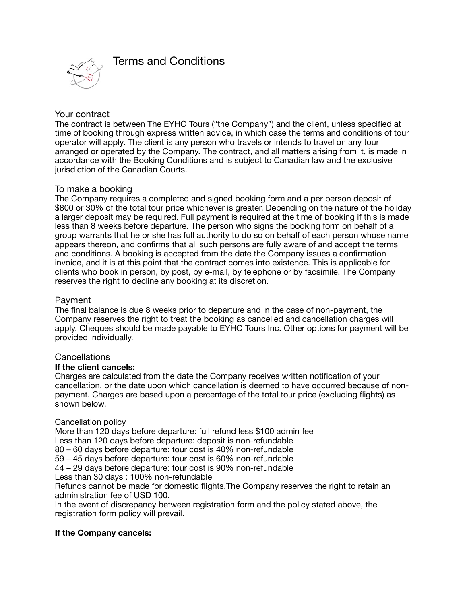

# Your contract

The contract is between The EYHO Tours ("the Company") and the client, unless specified at time of booking through express written advice, in which case the terms and conditions of tour operator will apply. The client is any person who travels or intends to travel on any tour arranged or operated by the Company. The contract, and all matters arising from it, is made in accordance with the Booking Conditions and is subject to Canadian law and the exclusive jurisdiction of the Canadian Courts.

# To make a booking

The Company requires a completed and signed booking form and a per person deposit of \$800 or 30% of the total tour price whichever is greater. Depending on the nature of the holiday a larger deposit may be required. Full payment is required at the time of booking if this is made less than 8 weeks before departure. The person who signs the booking form on behalf of a group warrants that he or she has full authority to do so on behalf of each person whose name appears thereon, and confirms that all such persons are fully aware of and accept the terms and conditions. A booking is accepted from the date the Company issues a confirmation invoice, and it is at this point that the contract comes into existence. This is applicable for clients who book in person, by post, by e-mail, by telephone or by facsimile. The Company reserves the right to decline any booking at its discretion.

## Payment

The final balance is due 8 weeks prior to departure and in the case of non-payment, the Company reserves the right to treat the booking as cancelled and cancellation charges will apply. Cheques should be made payable to EYHO Tours Inc. Other options for payment will be provided individually.

# **Cancellations**

# **If the client cancels:**

Charges are calculated from the date the Company receives written notification of your cancellation, or the date upon which cancellation is deemed to have occurred because of nonpayment. Charges are based upon a percentage of the total tour price (excluding flights) as shown below.

# Cancellation policy

More than 120 days before departure: full refund less \$100 admin fee Less than 120 days before departure: deposit is non-refundable 80 – 60 days before departure: tour cost is 40% non-refundable 59 – 45 days before departure: tour cost is 60% non-refundable 44 – 29 days before departure: tour cost is 90% non-refundable Less than 30 days : 100% non-refundable

Refunds cannot be made for domestic flights.The Company reserves the right to retain an administration fee of USD 100.

In the event of discrepancy between registration form and the policy stated above, the registration form policy will prevail.

# **If the Company cancels:**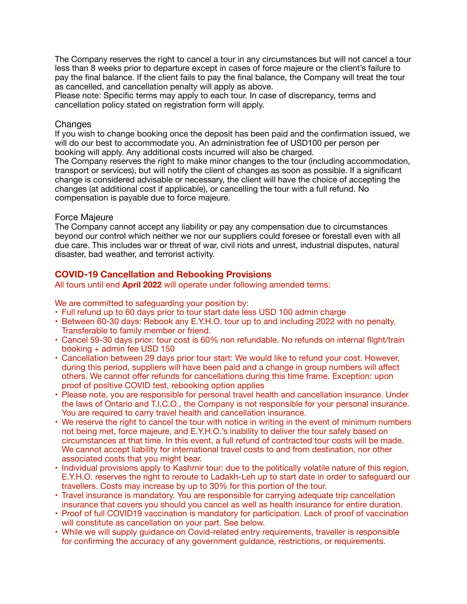The Company reserves the right to cancel a tour in any circumstances but will not cancel a tour less than 8 weeks prior to departure except in cases of force majeure or the client's failure to pay the final balance. If the client fails to pay the final balance, the Company will treat the tour as cancelled, and cancellation penalty will apply as above.

Please note: Specific terms may apply to each tour. In case of discrepancy, terms and cancellation policy stated on registration form will apply.

## **Changes**

If you wish to change booking once the deposit has been paid and the confirmation issued, we will do our best to accommodate you. An administration fee of USD100 per person per booking will apply. Any additional costs incurred will also be charged.

The Company reserves the right to make minor changes to the tour (including accommodation, transport or services), but will notify the client of changes as soon as possible. If a significant change is considered advisable or necessary, the client will have the choice of accepting the changes (at additional cost if applicable), or cancelling the tour with a full refund. No compensation is payable due to force majeure.

## Force Majeure

The Company cannot accept any liability or pay any compensation due to circumstances beyond our control which neither we nor our suppliers could foresee or forestall even with all due care. This includes war or threat of war, civil riots and unrest, industrial disputes, natural disaster, bad weather, and terrorist activity.

# **COVID-19 Cancellation and Rebooking Provisions**

All tours until end **April 2022** will operate under following amended terms:

We are committed to safeguarding your position by:

- Full refund up to 60 days prior to tour start date less USD 100 admin charge
- Between 60-30 days: Rebook any E.Y.H.O. tour up to and including 2022 with no penalty. Transferable to family member or friend.
- Cancel 59-30 days prior: tour cost is 60% non refundable. No refunds on internal flight/train booking + admin fee USD 150
- Cancellation between 29 days prior tour start: We would like to refund your cost. However, during this period, suppliers will have been paid and a change in group numbers will affect others. We cannot offer refunds for cancellations during this time frame. Exception: upon proof of positive COVID test, rebooking option applies
- Please note, you are responsible for personal travel health and cancellation insurance. Under the laws of Ontario and T.I.C.O., the Company is not responsible for your personal insurance. You are required to carry travel health and cancellation insurance.
- We reserve the right to cancel the tour with notice in writing in the event of minimum numbers not being met, force majeure, and E.Y.H.O.'s inability to deliver the tour safely based on circumstances at that time. In this event, a full refund of contracted tour costs will be made. We cannot accept liability for international travel costs to and from destination, nor other associated costs that you might bear.
- Individual provisions apply to Kashmir tour: due to the politically volatile nature of this region, E.Y.H.O. reserves the right to reroute to Ladakh-Leh up to start date in order to safeguard our travellers. Costs may increase by up to 30% for this portion of the tour.
- Travel insurance is mandatory. You are responsible for carrying adequate trip cancellation insurance that covers you should you cancel as well as health insurance for entire duration.
- Proof of full COVID19 vaccination is mandatory for participation. Lack of proof of vaccination will constitute as cancellation on your part. See below.
- While we will supply guidance on Covid-related entry requirements, traveller is responsible for confirming the accuracy of any government guidance, restrictions, or requirements.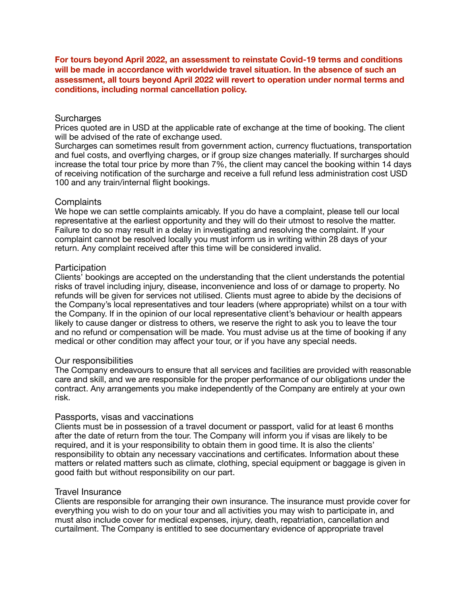**For tours beyond April 2022, an assessment to reinstate Covid-19 terms and conditions will be made in accordance with worldwide travel situation. In the absence of such an assessment, all tours beyond April 2022 will revert to operation under normal terms and conditions, including normal cancellation policy.** 

### **Surcharges**

Prices quoted are in USD at the applicable rate of exchange at the time of booking. The client will be advised of the rate of exchange used.

Surcharges can sometimes result from government action, currency fluctuations, transportation and fuel costs, and overflying charges, or if group size changes materially. If surcharges should increase the total tour price by more than 7%, the client may cancel the booking within 14 days of receiving notification of the surcharge and receive a full refund less administration cost USD 100 and any train/internal flight bookings.

## **Complaints**

We hope we can settle complaints amicably. If you do have a complaint, please tell our local representative at the earliest opportunity and they will do their utmost to resolve the matter. Failure to do so may result in a delay in investigating and resolving the complaint. If your complaint cannot be resolved locally you must inform us in writing within 28 days of your return. Any complaint received after this time will be considered invalid.

### **Participation**

Clients' bookings are accepted on the understanding that the client understands the potential risks of travel including injury, disease, inconvenience and loss of or damage to property. No refunds will be given for services not utilised. Clients must agree to abide by the decisions of the Company's local representatives and tour leaders (where appropriate) whilst on a tour with the Company. If in the opinion of our local representative client's behaviour or health appears likely to cause danger or distress to others, we reserve the right to ask you to leave the tour and no refund or compensation will be made. You must advise us at the time of booking if any medical or other condition may affect your tour, or if you have any special needs.

#### Our responsibilities

The Company endeavours to ensure that all services and facilities are provided with reasonable care and skill, and we are responsible for the proper performance of our obligations under the contract. Any arrangements you make independently of the Company are entirely at your own risk.

#### Passports, visas and vaccinations

Clients must be in possession of a travel document or passport, valid for at least 6 months after the date of return from the tour. The Company will inform you if visas are likely to be required, and it is your responsibility to obtain them in good time. It is also the clients' responsibility to obtain any necessary vaccinations and certificates. Information about these matters or related matters such as climate, clothing, special equipment or baggage is given in good faith but without responsibility on our part.

#### Travel Insurance

Clients are responsible for arranging their own insurance. The insurance must provide cover for everything you wish to do on your tour and all activities you may wish to participate in, and must also include cover for medical expenses, injury, death, repatriation, cancellation and curtailment. The Company is entitled to see documentary evidence of appropriate travel